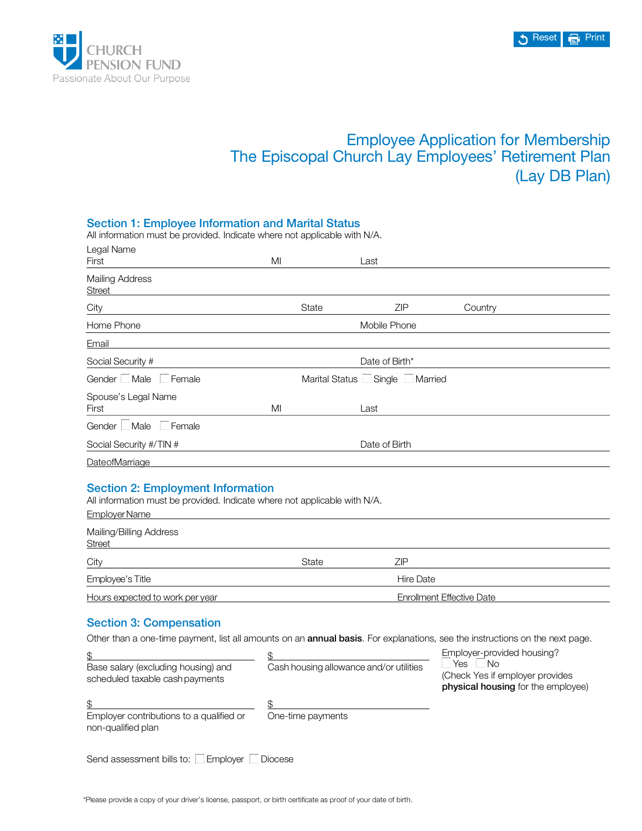

\$

Base salary (excluding housing) and scheduled taxable cash payments

# Employee Application for Membership The Episcopal Church Lay Employees' Retirement Plan (Lay DB Plan)

| <b>Section 1: Employee Information and Marital Status</b><br>All information must be provided. Indicate where not applicable with N/A.                         |                                  |                                  |                            |  |  |
|----------------------------------------------------------------------------------------------------------------------------------------------------------------|----------------------------------|----------------------------------|----------------------------|--|--|
| Legal Name<br>First                                                                                                                                            | MI                               | Last                             |                            |  |  |
| <b>Mailing Address</b><br><b>Street</b>                                                                                                                        |                                  |                                  |                            |  |  |
| City                                                                                                                                                           | State                            | <b>ZIP</b>                       | Country                    |  |  |
| Home Phone                                                                                                                                                     |                                  | Mobile Phone                     |                            |  |  |
| Email                                                                                                                                                          |                                  |                                  |                            |  |  |
| Social Security #                                                                                                                                              |                                  | Date of Birth*                   |                            |  |  |
| Gender Male<br>  Female                                                                                                                                        | Marital Status Single<br>Married |                                  |                            |  |  |
| Spouse's Legal Name<br>First                                                                                                                                   | MI                               | Last                             |                            |  |  |
| Gender Male<br>□ Female                                                                                                                                        |                                  |                                  |                            |  |  |
| Social Security #/TIN #                                                                                                                                        |                                  | Date of Birth                    |                            |  |  |
| DateofMarriage                                                                                                                                                 |                                  |                                  |                            |  |  |
| <b>Section 2: Employment Information</b><br>All information must be provided. Indicate where not applicable with N/A.<br>Employer Name                         |                                  |                                  |                            |  |  |
| Mailing/Billing Address<br><b>Street</b>                                                                                                                       |                                  |                                  |                            |  |  |
| City                                                                                                                                                           | State                            | ZIP                              |                            |  |  |
| Employee's Title                                                                                                                                               |                                  | Hire Date                        |                            |  |  |
| Hours expected to work per year                                                                                                                                |                                  | <b>Enrollment Effective Date</b> |                            |  |  |
| <b>Section 3: Compensation</b><br>Other than a one-time payment, list all amounts on an annual basis. For explanations, see the instructions on the next page. |                                  |                                  |                            |  |  |
| \$.                                                                                                                                                            | \$.                              |                                  | Employer-provided housing? |  |  |

| Employer contributions to a qualified or<br>non-qualified plan | One-time payments |
|----------------------------------------------------------------|-------------------|
| Send assessment bills to: □ Employer □ Diocese                 |                   |

Cash housing allowance and/or utilities

 $Yes \Box No$ 

(Check Yes if employer provides physical housing for the employee)

\$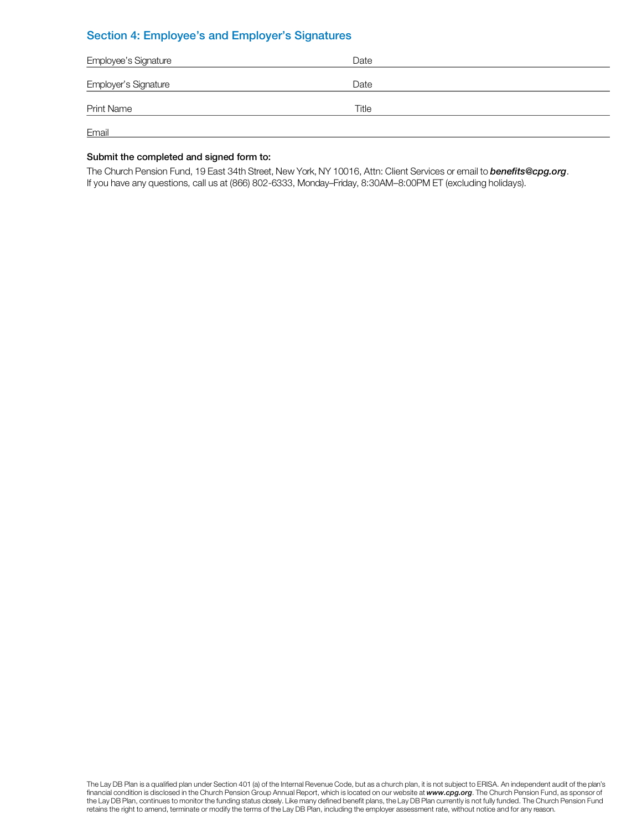# Section 4: Employee's and Employer's Signatures

| Employee's Signature | Date  |  |
|----------------------|-------|--|
| Employer's Signature | Date  |  |
| <b>Print Name</b>    | Title |  |
| Email                |       |  |

### Submit the completed and signed form to:

The Church Pension Fund, 19 East 34th Street, New York, NY 10016, Attn: Client Services or email to *benefits@cpg.org*. If you have any questions, call us at (866) 802-6333, Monday–Friday, 8:30AM–8:00PM ET (excluding holidays).

The Lay DB Plan is a qualified plan under Section 401 (a) of the Internal Revenue Code, but as a church plan, it is not subject to ERISA. An independent audit of the plan's financial condition is disclosed in the Church Pension Group Annual Report, which is located on our website at *www.cpg.org*. The Church Pension Fund, as sponsor of the Lay DB Plan, continues to monitor the funding status closely. Like many defined benefit plans, the Lay DB Plan currently is not fully funded. The Church Pension Fund retains the right to amend, terminate or modify the terms of the Lay DB Plan, including the employer assessment rate, without notice and for any reason.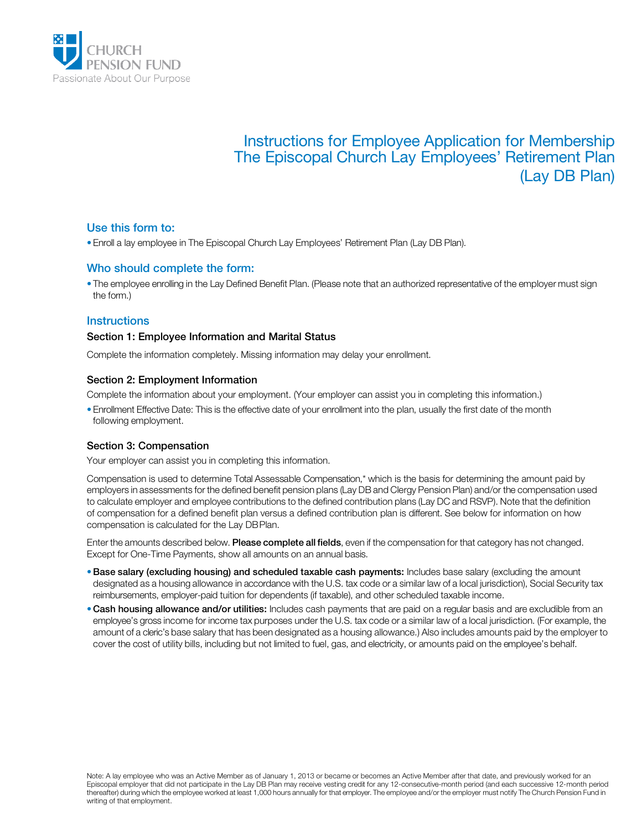

# Instructions for Employee Application for Membership The Episcopal Church Lay Employees' Retirement Plan (Lay DB Plan)

# Use this form to:

• Enroll a lay employee in The Episcopal Church Lay Employees' Retirement Plan (Lay DB Plan).

# Who should complete the form:

• The employee enrolling in the Lay Defined Benefit Plan. (Please note that an authorized representative of the employer must sign the form.)

# **Instructions**

## Section 1: Employee Information and Marital Status

Complete the information completely. Missing information may delay your enrollment.

#### Section 2: Employment Information

Complete the information about your employment. (Your employer can assist you in completing this information.)

• Enrollment Effective Date: This is the effective date of your enrollment into the plan, usually the first date of the month following employment.

#### Section 3: Compensation

Your employer can assist you in completing this information.

Compensation is used to determine Total Assessable Compensation,\* which is the basis for determining the amount paid by employers in assessments for the defined benefit pension plans (Lay DB and Clergy Pension Plan) and/or the compensation used to calculate employer and employee contributions to the defined contribution plans (Lay DC and RSVP). Note that the definition of compensation for a defined benefit plan versus a defined contribution plan is different. See below for information on how compensation is calculated for the Lay DBPlan.

Enter the amounts described below. Please complete all fields, even if the compensation for that category has not changed. Except for One-Time Payments, show all amounts on an annual basis.

- Base salary (excluding housing) and scheduled taxable cash payments: Includes base salary (excluding the amount designated as a housing allowance in accordance with the U.S. tax code or a similar law of a local jurisdiction), Social Security tax reimbursements, employer-paid tuition for dependents (if taxable), and other scheduled taxable income.
- . Cash housing allowance and/or utilities: Includes cash payments that are paid on a regular basis and are excludible from an employee's gross income for income tax purposes under the U.S. tax code or a similar law of a local jurisdiction. (For example, the amount of a cleric's base salary that has been designated as a housing allowance.) Also includes amounts paid by the employer to cover the cost of utility bills, including but not limited to fuel, gas, and electricity, or amounts paid on the employee's behalf.